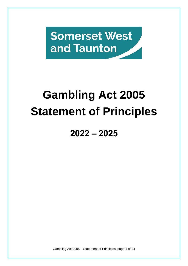**Somerset West** and Taunton

# **Gambling Act 2005 Statement of Principles**

# **2022 – 2025**

Gambling Act 2005 – Statement of Principles, page 1 of 24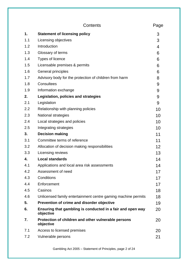|     | Contents                                                                | Page |
|-----|-------------------------------------------------------------------------|------|
| 1.  | <b>Statement of licensing policy</b>                                    | 3    |
| 1.1 | Licensing objectives                                                    | 3    |
| 1.2 | Introduction                                                            | 4    |
| 1.3 | Glossary of terms                                                       | 6    |
| 1.4 | Types of licence                                                        | 6    |
| 1.5 | Licensable premises & permits                                           | 6    |
| 1.6 | General principles                                                      | 6    |
| 1.7 | Advisory body for the protection of children from harm                  | 8    |
| 1.8 | Consultees                                                              | 9    |
| 1.9 | Information exchange                                                    | 9    |
| 2.  | Legislation, policies and strategies                                    | 9    |
| 2.1 | Legislation                                                             | 9    |
| 2.2 | Relationship with planning policies                                     | 10   |
| 2.3 | <b>National strategies</b>                                              | 10   |
| 2.4 | Local strategies and policies                                           | 10   |
| 2.5 | Integrating strategies                                                  | 10   |
| 3.  | <b>Decision making</b>                                                  | 11   |
| 3.1 | Committee terms of reference                                            | 11   |
| 3.2 | Allocation of decision making responsibilities                          | 12   |
| 3.3 | Licensing reviews                                                       | 13   |
| 4.  | <b>Local standards</b>                                                  | 14   |
| 4.1 | Applications and local area risk assessments                            | 14   |
| 4.2 | Assessment of need                                                      | 17   |
| 4.3 | Conditions                                                              | 17   |
| 4.4 | Enforcement                                                             | 17   |
| 4.5 | Casinos                                                                 | 18   |
| 4.6 | Unlicensed family entertainment centre gaming machine permits           | 18   |
| 5.  | Prevention of crime and disorder objective                              | 19   |
| 6.  | Ensuring that gambling is conducted in a fair and open way<br>objective | 20   |
| 7.  | Protection of children and other vulnerable persons<br>objective        | 20   |
| 7.1 | Access to licensed premises                                             | 20   |
| 7.2 | Vulnerable persons                                                      | 21   |

Gambling Act 2005 – Statement of Principles, page 2 of 24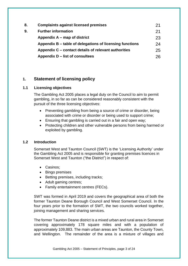| 8. | <b>Complaints against licensed premises</b>              | 21 |
|----|----------------------------------------------------------|----|
| 9. | <b>Further information</b>                               | 21 |
|    | Appendix A – map of district                             | 23 |
|    | Appendix B – table of delegations of licensing functions | 24 |
|    | Appendix C – contact details of relevant authorities     | 25 |
|    | Appendix D – list of consultees                          | 26 |

### **1. Statement of licensing policy**

#### **1.1 Licensing objectives**

The Gambling Act 2005 places a legal duty on the Council to aim to permit gambling, in so far as can be considered reasonably consistent with the pursuit of the three licensing objectives:

- Preventing gambling from being a source of crime or disorder, being associated with crime or disorder or being used to support crime;
- Ensuring that gambling is carried out in a fair and open way;
- Protecting children and other vulnerable persons from being harmed or exploited by gambling.

#### **1.2 Introduction**

Somerset West and Taunton Council (SWT) is the 'Licensing Authority' under the Gambling Act 2005 and is responsible for granting premises licences in Somerset West and Taunton ("the District") in respect of:

- Casinos;
- Bingo premises
- Betting premises, including tracks;
- Adult gaming centres;
- Family entertainment centres (FECs).

SWT was formed in April 2019 and covers the geographical area of both the former Taunton Deane Borough Council and West Somerset Council. In the four years prior to the formation of SWT, the two councils worked together, joining management and sharing services.

The former Taunton Deane district is a mixed urban and rural area in Somerset covering approximately 178 square miles and with a population of approximately 109,883. The main urban areas are Taunton, the County Town, and Wellington. The remainder of the area is a mixture of villages and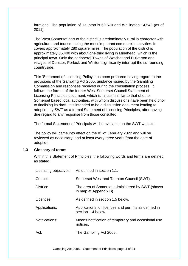farmland. The population of Taunton is 69,570 and Wellington 14,549 (as of 2011).

The West Somerset part of the district is predominately rural in character with agriculture and tourism being the most important commercial activities. It covers approximately 280 square miles. The population of the district is approximately 35,400 with about one third living in Minehead, which is the principal town. Only the peripheral Towns of Watchet and Dulverton and villages of Dunster, Porlock and Williton significantly interrupt the surrounding countryside.

This 'Statement of Licensing Policy' has been prepared having regard to the provisions of the Gambling Act 2005, guidance issued by the Gambling Commission and responses received during the consultation process. It follows the format of the former West Somerset Council Statement of Licensing Principles document, which is in itself similar to that of other Somerset based local authorities, with whom discussions have been held prior to finalising its draft. It is intended to be a discussion document leading to adoption by SWT as a formal Statement of Licensing Principles, after having due regard to any response from those consulted.

The formal Statement of Principals will be available on the SWT website.

The policy will came into effect on the  $8<sup>th</sup>$  of February 2022 and will be reviewed as necessary, and at least every three years from the date of adoption.

#### **1.3 Glossary of terms**

Within this Statement of Principles, the following words and terms are defined as stated:

|                | Licensing objectives: As defined in section 1.1.                          |  |  |
|----------------|---------------------------------------------------------------------------|--|--|
| Council:       | Somerset West and Taunton Council (SWT).                                  |  |  |
| District:      | The area of Somerset administered by SWT (shown<br>in map at Appendix B). |  |  |
| Licences:      | As defined in section 1.5 below.                                          |  |  |
| Applications:  | Applications for licences and permits as defined in<br>section 1.4 below. |  |  |
| Notifications: | Means notification of temporary and occasional use<br>notices.            |  |  |
| Act:           | The Gambling Act 2005.                                                    |  |  |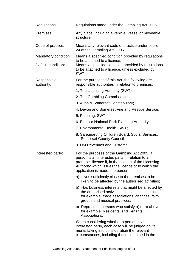| Regulations:              | Regulations made under the Gambling Act 2005.                                                                                                                                                                                                    |  |  |  |
|---------------------------|--------------------------------------------------------------------------------------------------------------------------------------------------------------------------------------------------------------------------------------------------|--|--|--|
| Premises:                 | Any place, including a vehicle, vessel or moveable<br>structure.                                                                                                                                                                                 |  |  |  |
| Code of practice:         | Means any relevant code of practice under section<br>24 of the Gambling Act 2005.                                                                                                                                                                |  |  |  |
| Mandatory condition:      | Means a specified condition provided by regulations<br>to be attached to a licence.<br>Means a specified condition provided by regulations<br>to be attached to a licence, unless excluded by<br>SWT.                                            |  |  |  |
| Default condition:        |                                                                                                                                                                                                                                                  |  |  |  |
| Responsible<br>authority: | For the purposes of this Act, the following are<br>responsible authorities in relation to premises:                                                                                                                                              |  |  |  |
|                           | 1. The Licensing Authority (SWT);                                                                                                                                                                                                                |  |  |  |
|                           | 2. The Gambling Commission;                                                                                                                                                                                                                      |  |  |  |
|                           | 3. Avon & Somerset Constabulary;                                                                                                                                                                                                                 |  |  |  |
|                           | 4. Devon and Somerset Fire and Rescue Service;                                                                                                                                                                                                   |  |  |  |
|                           | 5. Planning, SWT;                                                                                                                                                                                                                                |  |  |  |
|                           | 6. Exmoor National Park Planning Authority;                                                                                                                                                                                                      |  |  |  |
|                           | 7. Environmental Health, SWT;                                                                                                                                                                                                                    |  |  |  |
|                           | 8. Safeguarding Children Board, Social Services,<br><b>Somerset County Council;</b>                                                                                                                                                              |  |  |  |
|                           | 9. HM Revenues and Customs.                                                                                                                                                                                                                      |  |  |  |
| Interested party:         | For the purposes of the Gambling Act 2005, a<br>person is an interested party in relation to a<br>premises licence if, in the opinion of the Licensing<br>Authority which issues the licence or to which the<br>application is made, the person: |  |  |  |
|                           | a) Lives sufficiently close to the premises to be<br>likely to be affected by the authorised activities;                                                                                                                                         |  |  |  |
|                           | b) Has business interests that might be affected by<br>the authorised activities; this could also include,<br>for example, trade associations, charities, faith<br>groups and medical practices.                                                 |  |  |  |
|                           | c) Represents persons who satisfy a) or b) above;<br>for example, Residents' and Tenants'<br>Associations.                                                                                                                                       |  |  |  |
|                           | When considering whether a person is an<br>interested party, each case will be judged on its<br>merits taking into consideration the relevant<br>circumstances, including those contained in the                                                 |  |  |  |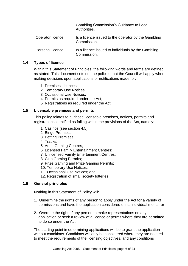Gambling Commission's Guidance to Local Authorities.

Operator licence: Is a licence issued to the operator by the Gambling Commission.

Personal licence: Is a licence issued to individuals by the Gambling Commission.

#### **1.4 Types of licence**

Within this Statement of Principles, the following words and terms are defined as stated. This document sets out the policies that the Council will apply when making decisions upon applications or notifications made for:

- 1. Premises Licences;
- 2. Temporary Use Notices;
- 3. Occasional Use Notices;
- 4. Permits as required under the Act;
- 5. Registrations as required under the Act.

#### **1.5 Licensable premises and permits**

This policy relates to all those licensable premises, notices, permits and registrations identified as falling within the provisions of the Act, namely:

- 1. Casinos (see section 4.5);
- 2. Bingo Premises;
- 3. Betting Premises;
- 4. Tracks;
- 5. Adult Gaming Centres;
- 6. Licensed Family Entertainment Centres;
- 7. Unlicensed Family Entertainment Centres;
- 8. Club Gaming Permits;
- 9. Prize Gaming and Prize Gaming Permits;
- 10. Temporary Use Notices;
- 11. Occasional Use Notices; and
- 12. Registration of small society lotteries.

#### **1.6 General principles**

Nothing in this Statement of Policy will:

- 1. Undermine the rights of any person to apply under the Act for a variety of permissions and have the application considered on its individual merits; or
- 2. Override the right of any person to make representations on any application or seek a review of a licence or permit where they are permitted to do so under the Act.

The starting point in determining applications will be to grant the application without conditions. Conditions will only be considered where they are needed to meet the requirements of the licensing objectives, and any conditions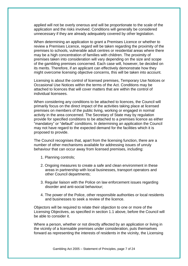applied will not be overly onerous and will be proportionate to the scale of the application and the risks involved. Conditions will generally be considered unnecessary if they are already adequately covered by other legislation.

When determining an application to grant a Premises Licence or whether to review a Premises Licence, regard will be taken regarding the proximity of the premises to schools, vulnerable adult centres or residential areas where there may be a high concentration of families with children. The proximity of premises taken into consideration will vary depending on the size and scope of the gambling premises concerned. Each case will, however, be decided on its merits. Therefore, if an applicant can effectively demonstrate how they might overcome licensing objective concerns, this will be taken into account.

Licensing is about the control of licensed premises, Temporary Use Notices or Occasional Use Notices within the terms of the Act. Conditions may be attached to licences that will cover matters that are within the control of individual licensees.

When considering any conditions to be attached to licences, the Council will primarily focus on the direct impact of the activities taking place at licensed premises on members of the public living, working or engaged in normal activity in the area concerned. The Secretary of State may by regulation provide for specified conditions to be attached to a premises licence as either "mandatory" or "default" conditions. In determining an application the Council may not have regard to the expected demand for the facilities which it is proposed to provide.

The Council recognises that, apart from the licensing function, there are a number of other mechanisms available for addressing issues of unruly behaviour that can occur away from licensed premises, including:

- 1. Planning controls;
- 2. Ongoing measures to create a safe and clean environment in these areas in partnership with local businesses, transport operators and other Council departments;
- 3. Regular liaison with the Police on law enforcement issues regarding disorder and anti-social behaviour;
- 4. The power of the Police, other responsible authorities or local residents and businesses to seek a review of the licence.

Objectors will be required to relate their objection to one or more of the Licensing Objectives, as specified in section 1.1 above, before the Council will be able to consider it.

Where a person, whether or not directly affected by an application or living in the vicinity of a licensable premises under consideration, puts themselves forward as representing the interests of residents in the vicinity, the Licensing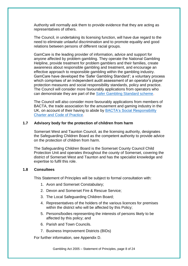Authority will normally ask them to provide evidence that they are acting as representatives of others.

The Council, in undertaking its licensing function, will have due regard to the need to eliminate unlawful discrimination and to promote equality and good relations between persons of different racial groups.

GamCare is the leading provider of information, advice and support for anyone affected by problem gambling. They operate the National Gambling Helpline, provide treatment for problem gamblers and their families, create awareness about responsible gambling and treatment, and encourage an effective approach to responsible gambling within the gambling industry. GamCare have developed the 'Safer Gambling Standard'; a voluntary process which comprises of an independent audit assessment of an operator's player protection measures and social responsibility standards, policy and practice. The Council will consider more favourably applications from operators who can demonstrate they are part of the [Safer Gambling Standard scheme.](https://www.safergamblingstandard.org.uk/)

The Council will also consider more favourably applications from members of BACTA, the trade association for the amusement and gaming industry in the UK, on account of their having to abide by BACTA's Social Responsibility [Charter and Code of Practice.](https://bacta.org.uk/2019/04/01/enhanced-social-responsibility-charter/)

#### **1.7 Advisory body for the protection of children from harm**

Somerset West and Taunton Council, as the licensing authority, designates the Safeguarding Children Board as the competent authority to provide advice on the protection of children from harm.

The Safeguarding Children Board is the Somerset County Council Child Protection Unit and operates throughout the county of Somerset, covering the district of Somerset West and Taunton and has the specialist knowledge and expertise to fulfil this role.

#### **1.8 Consultees**

This Statement of Principles will be subject to formal consultation with:

- 1. Avon and Somerset Constabulary;
- 2. Devon and Somerset Fire & Rescue Service;
- 3. The Local Safeguarding Children Board;
- 4. Representatives of the holders of the various licences for premises within the district who will be affected by this Policy;
- 5. Persons/bodies representing the interests of persons likely to be affected by this policy; and
- 6. Parish and Town Councils.
- 7. Business Improvement Districts (BIDs)

For further information, see Appendix D.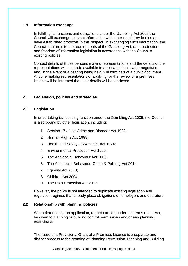#### **1.9 Information exchange**

In fulfilling its functions and obligations under the Gambling Act 2005 the Council will exchange relevant information with other regulatory bodies and have established protocols in this respect. In exchanging such information, the Council conforms to the requirements of the Gambling Act, data protection and freedom of information legislation in accordance with the Council's existing policies.

Contact details of those persons making representations and the details of the representations will be made available to applicants to allow for negotiation and, in the event of a hearing being held, will form part of a public document. Anyone making representations or applying for the review of a premises licence will be informed that their details will be disclosed.

#### **2. Legislation, policies and strategies**

#### **2.1 Legislation**

In undertaking its licensing function under the Gambling Act 2005, the Council is also bound by other legislation, including:

- 1. Section 17 of the Crime and Disorder Act 1988;
- 2. Human Rights Act 1998;
- 3. Health and Safety at Work etc. Act 1974;
- 4. Environmental Protection Act 1990;
- 5. The Anti-social Behaviour Act 2003;
- 6. The Anti-social Behaviour, Crime & Policing Act 2014;
- 7. Equality Act 2010;
- 8. Children Act 2004;
- 9. The Data Protection Act 2017.

However, the policy is not intended to duplicate existing legislation and regulation regimes that already place obligations on employers and operators.

#### **2.2 Relationship with planning policies**

When determining an application, regard cannot, under the terms of the Act, be given to planning or building control permissions and/or any planning restrictions.

The issue of a Provisional Grant of a Premises Licence is a separate and distinct process to the granting of Planning Permission. Planning and Building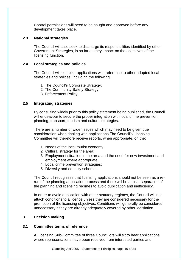Control permissions will need to be sought and approved before any development takes place.

#### **2.3 National strategies**

The Council will also seek to discharge its responsibilities identified by other Government Strategies, in so far as they impact on the objectives of the licensing function.

#### **2.4 Local strategies and policies**

The Council will consider applications with reference to other adopted local strategies and polices, including the following:

- 1. The Council's Corporate Strategy;
- 2. The Community Safety Strategy;
- 3. Enforcement Policy.

#### **2.5 Integrating strategies**

By consulting widely prior to this policy statement being published, the Council will endeavour to secure the proper integration with local crime prevention, planning, transport, tourism and cultural strategies.

There are a number of wider issues which may need to be given due consideration when dealing with applications The Council's Licensing Committee will therefore receive reports, when appropriate, on the:

- 1. Needs of the local tourist economy;
- 2. Cultural strategy for the area;
- 3. Employment situation in the area and the need for new investment and employment where appropriate;
- 4. Local crime prevention strategies;
- 5. Diversity and equality schemes.

The Council recognises that licensing applications should not be seen as a rerun of the planning application process and there will be a clear separation of the planning and licensing regimes to avoid duplication and inefficiency.

In order to avoid duplication with other statutory regimes, the Council will not attach conditions to a licence unless they are considered necessary for the promotion of the licensing objectives. Conditions will generally be considered unnecessary if they are already adequately covered by other legislation.

#### **3. Decision making**

#### **3.1 Committee terms of reference**

A Licensing Sub-Committee of three Councillors will sit to hear applications where representations have been received from interested parties and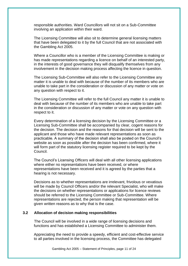responsible authorities. Ward Councillors will not sit on a Sub-Committee involving an application within their ward.

The Licensing Committee will also sit to determine general licensing matters that have been delegated to it by the full Council that are not associated with the Gambling Act 2005.

Where a Councillor who is a member of the Licensing Committee is making or has made representations regarding a licence on behalf of an interested party, in the interests of good governance they will disqualify themselves from any involvement in the decision making process affecting the licence in question.

The Licensing Sub-Committee will also refer to the Licensing Committee any matter it is unable to deal with because of the number of its members who are unable to take part in the consideration or discussion of any matter or vote on any question with respect to it.

The Licensing Committee will refer to the full Council any matter it is unable to deal with because of the number of its members who are unable to take part in the consideration or discussion of any matter or vote on any question with respect to it.

Every determination of a licensing decision by the Licensing Committee or a Licensing Sub-Committee shall be accompanied by clear, cogent reasons for the decision. The decision and the reasons for that decision will be sent to the applicant and those who have made relevant representations as soon as practicable. A summary of the decision shall also be posted on the Council's website as soon as possible after the decision has been confirmed, where it will form part of the statutory licensing register required to be kept by the Council.

The Council's Licensing Officers will deal with all other licensing applications where either no representations have been received, or where representations have been received and it is agreed by the parties that a hearing is not necessary.

Decisions as to whether representations are irrelevant, frivolous or vexatious will be made by Council Officers and/or the relevant Specialist, who will make the decisions on whether representations or applications for licence reviews should be referred to the Licensing Committee or Sub-Committee. Where representations are rejected, the person making that representation will be given written reasons as to why that is the case.

#### **3.2 Allocation of decision making responsibilities**

The Council will be involved in a wide range of licensing decisions and functions and has established a Licensing Committee to administer them.

Appreciating the need to provide a speedy, efficient and cost-effective service to all parties involved in the licensing process, the Committee has delegated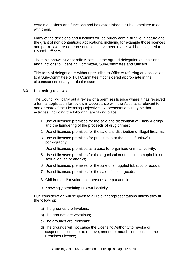certain decisions and functions and has established a Sub-Committee to deal with them.

Many of the decisions and functions will be purely administrative in nature and the grant of non-contentious applications, including for example those licences and permits where no representations have been made, will be delegated to Council Officers.

The table shown at Appendix A sets out the agreed delegation of decisions and functions to Licensing Committee, Sub-Committee and Officers.

This form of delegation is without prejudice to Officers referring an application to a Sub-Committee or Full Committee if considered appropriate in the circumstances of any particular case.

#### **3.3 Licensing reviews**

The Council will carry out a review of a premises licence where it has received a formal application for review in accordance with the Act that is relevant to one or more of the Licensing Objectives. Representations may be that activities, including the following, are taking place:

- 1. Use of licensed premises for the sale and distribution of Class A drugs and the laundering of the proceeds of drug crimes;
- 2. Use of licensed premises for the sale and distribution of illegal firearms;
- 3. Use of licensed premises for prostitution or the sale of unlawful pornography;
- 4. Use of licensed premises as a base for organised criminal activity;
- 5. Use of licensed premises for the organisation of racist, homophobic or sexual abuse or attacks;
- 6. Use of licensed premises for the sale of smuggled tobacco or goods;
- 7. Use of licensed premises for the sale of stolen goods.
- 8. Children and/or vulnerable persons are put at risk.
- 9. Knowingly permitting unlawful activity.

Due consideration will be given to all relevant representations unless they fit the following:

- a) The grounds are frivolous;
- b) The grounds are vexatious;
- c) The grounds are irrelevant;
- d) The grounds will not cause the Licensing Authority to revoke or suspend a licence, or to remove, amend or attach conditions on the Premises Licence;

Gambling Act 2005 – Statement of Principles, page 12 of 24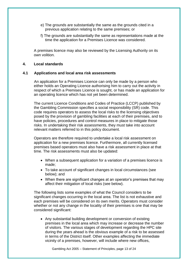- e) The grounds are substantially the same as the grounds cited in a previous application relating to the same premises; or
- f) The grounds are substantially the same as representations made at the time the application for a Premises Licence was considered.

A premises licence may also be reviewed by the Licensing Authority on its own volition.

#### **4. Local standards**

#### **4.1 Applications and local area risk assessments**

An application for a Premises Licence can only be made by a person who either holds an Operating Licence authorising him to carry out the activity in respect of which a Premises Licence is sought, or has made an application for an operating licence which has not yet been determined.

The current Licence Conditions and Codes of Practice (LCCP) published by the Gambling Commission specifies a social responsibility (SR) code. This code requires operators to assess the local risks to the licensing objectives posed by the provision of gambling facilities at each of their premises, and to have policies, procedures and control measures in place to mitigate those risks. In undertaking their risk assessments, they must take into account relevant matters referred to in this policy document.

Operators are therefore required to undertake a local risk assessment on application for a new premises licence. Furthermore, all currently licensed premises based operators must also have a risk assessment in place at that time. The risk assessments must also be updated:

- When a subsequent application for a variation of a premises licence is made;
- To take account of significant changes in local circumstances (see below); and
- When there are significant changes at an operator's premises that may affect their mitigation of local risks (see below).

The following lists some examples of what the Council considers to be significant changes occurring in the local area. The list is not exhaustive and each premises will be considered on its own merits. Operators must consider whether or not any change in the locality of their premises is one that may be considered significant:

• Any substantial building development or conversion of existing premises in the local area which may increase or decrease the number of visitors. The various stages of development regarding the HPC site during the years ahead is the obvious example of a risk to be assessed in terms of the District itself. Other examples affecting the immediate vicinity of a premises, however, will include where new offices,

Gambling Act 2005 – Statement of Principles, page 13 of 24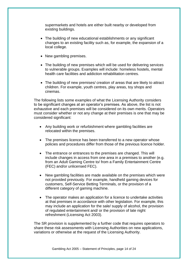supermarkets and hotels are either built nearby or developed from existing buildings.

- The building of new educational establishments or any significant changes to an existing facility such as, for example, the expansion of a local college.
- New gambling premises.
- The building of new premises which will be used for delivering services to vulnerable groups. Examples will include: homeless hostels, mental health care facilities and addiction rehabilitation centres.
- The building of new premises/ creation of areas that are likely to attract children. For example, youth centres, play areas, toy shops and cinemas.

The following lists some examples of what the Licensing Authority considers to be significant changes at an operator's premises. As above, the list is not exhaustive and each premises will be considered on its own merits. Operators must consider whether or not any change at their premises is one that may be considered significant:

- Any building work or refurbishment where gambling facilities are relocated within the premises.
- The premises licence has been transferred to a new operator whose policies and procedures differ from those of the previous licence holder.
- The entrance or entrances to the premises are changed. This will include changes in access from one area in a premises to another (e.g. from an Adult Gaming Centre to/ from a Family Entertainment Centre (FEC) and/or unlicensed FEC).
- New gambling facilities are made available on the premises which were not provided previously. For example, handheld gaming devices for customers, Self-Service Betting Terminals, or the provision of a different category of gaming machine.
- The operator makes an application for a licence to undertake activities at that premises in accordance with other legislation. For example, this may include an application for the sale/ supply of alcohol, the provision of regulated entertainment and/ or the provision of late night refreshment (Licensing Act 2003).

The SR provision is supplemented by a further code that requires operators to share these risk assessments with Licensing Authorities on new applications, variations or otherwise at the request of the Licensing Authority.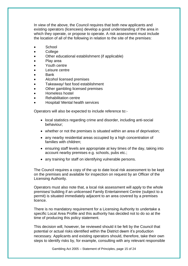In view of the above, the Council requires that both new applicants and existing operators (licencees) develop a good understanding of the area in which they operate, or propose to operate. A risk assessment must include the location of all of the following in relation to the site of the premises:

- **School**
- College
- Other educational establishment (if applicable)
- Play area
- Youth centre
- Leisure centre
- Bank
- Alcohol licensed premises
- Takeaway/ fast food establishment
- Other gambling licensed premises
- Homeless hostel
- Rehabilitation centre
- Hospital/ Mental health services

Operators will also be expected to include reference to:-

- local statistics regarding crime and disorder, including anti-social behaviour;
- whether or not the premises is situated within an area of deprivation;
- any nearby residential areas occupied by a high concentration of families with children;
- ensuring staff levels are appropriate at key times of the day, taking into account nearby premises e.g. schools, pubs etc.;
- any training for staff on identifying vulnerable persons.

The Council requires a copy of the up to date local risk assessment to be kept on the premises and available for inspection on request by an Officer of the Licensing Authority.

Operators must also note that, a local risk assessment will apply to the whole premises/ building if an unlicensed Family Entertainment Centre (subject to a permit) is situated immediately adjacent to an area covered by a premises licence.

There is no mandatory requirement for a Licensing Authority to undertake a specific Local Area Profile and this authority has decided not to do so at the time of producing this policy statement.

This decision will, however, be reviewed should it be felt by the Council that potential or actual risks identified within the District deem it's production necessary. Applicants and existing operators should, therefore, take their own steps to identify risks by, for example, consulting with any relevant responsible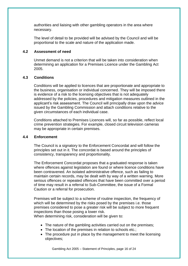authorities and liaising with other gambling operators in the area where necessary.

The level of detail to be provided will be advised by the Council and will be proportional to the scale and nature of the application made.

#### **4.2 Assessment of need**

Unmet demand is not a criterion that will be taken into consideration when determining an application for a Premises Licence under the Gambling Act 2005.

#### **4.3 Conditions**

Conditions will be applied to licences that are proportionate and appropriate to the business, organisation or individual concerned. They will be imposed there is evidence of a risk to the licensing objectives that is not adequately addressed by the policies, procedures and mitigation measures outlined in the applicant's risk assessment. The Council will principally draw upon the advice issued by the Gambling Commission and attach conditions relative to the given circumstances of each individual case.

Conditions attached to Premises Licences will, so far as possible, reflect local crime prevention strategies. For example, closed circuit television cameras may be appropriate in certain premises.

#### **4.4 Enforcement**

The Council is a signatory to the Enforcement Concordat and will follow the principles set out in it. The concordat is based around the principles of consistency, transparency and proportionality.

The Enforcement Concordat proposes that a graduated response is taken where offences against legislation are found or where licence conditions have been contravened. An isolated administrative offence, such as failing to maintain certain records, may be dealt with by way of a written warning. More serious offences or repeated offences that have been committed over a period of time may result in a referral to Sub-Committee, the issue of a Formal Caution or a referral for prosecution.

Premises will be subject to a scheme of routine inspection, the frequency of which will be determined by the risks posed by the premises i.e. those premises considered to pose a greater risk will be subject to more frequent inspections than those posing a lower risk.

When determining risk, consideration will be given to:

- The nature of the gambling activities carried out on the premises;
- The location of the premises in relation to schools etc.;
- The procedure put in place by the management to meet the licensing objectives;

Gambling Act 2005 – Statement of Principles, page 16 of 24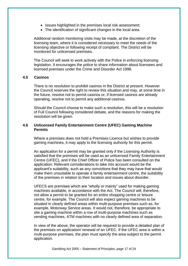- Issues highlighted in the premises local risk assessment;
- The identification of significant changes in the local area.

Additional random monitoring visits may be made, at the discretion of the licensing team, where it is considered necessary to meet the needs of the licensing objective or following receipt of complaint. The District will be monitored for unlicensed premises.

The Council will seek to work actively with the Police in enforcing licensing legislation. It encourages the police to share information about licensees and licensed premises under the Crime and Disorder Act 1998.

#### **4.5 Casinos**

There is no resolution to prohibit casinos in the District at present. However the Council reserves the right to review this situation and may, at some time in the future, resolve not to permit casinos or, if licensed casinos are already operating, resolve not to permit any additional casinos.

Should the Council choose to make such a resolution, this will be a resolution of Full Council following considered debate, and the reasons for making the resolution will be given.

#### **4.6 Unlicensed Family Entertainment Centre (UFEC) Gaming Machine Permits**

Where a premises does not hold a Premises Licence but wishes to provide gaming machines, it may apply to the licensing authority for this permit.

An application for a permit may be granted only if the Licensing Authority is satisfied that the premises will be used as an unlicensed Family Entertainment Centre (UFEC), and if the Chief Officer of Police has been consulted on the application. Relevant considerations to take into account would be the applicant's suitability, such as any convictions that they may have that would make them unsuitable to operate a family entertainment centre, the suitability of the premises in relation to their location and issues about disorder.

UFECS are premises which are "wholly or mainly" used for making gaming machines available, in accordance with the Act. The Council will, therefore, not allow a permit to be granted for an entire shopping centre or leisure centre, for example. The Council will also expect gaming machines to be situated in clearly defined areas within multi-purpose premises such as, for example, Motorway Service areas. It would not, therefore, be appropriate to site a gaming machine within a row of multi-purpose machines such as vending machines, ATM machines with no clearly defined area of separation.

In view of the above, the operator will be required to provide a detailed plan of the premises on application/ renewal of an UFEC. If the UFEC area is within a multi-purpose premises, the plan must specify the area subject to the permit application.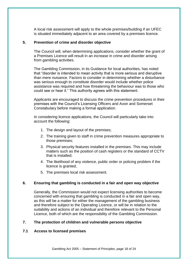A local risk assessment will apply to the whole premises/building if an UFEC is situated immediately adjacent to an area covered by a premises licence.

#### **5. Prevention of crime and disorder objective**

The Council will, when determining applications, consider whether the grant of a Premises Licence will result in an increase in crime and disorder arising from gambling activities.

The Gambling Commission, in its Guidance for local authorities, has noted that "disorder is intended to mean activity that is more serious and disruptive than mere nuisance. Factors to consider in determining whether a disturbance was serious enough to constitute disorder would include whether police assistance was required and how threatening the behaviour was to those who could see or hear it." This authority agrees with this statement.

Applicants are encouraged to discuss the crime prevention procedures in their premises with the Council's Licensing Officers and Avon and Somerset Constabulary before making a formal application.

In considering licence applications, the Council will particularly take into account the following:

- 1. The design and layout of the premises;
- 2. The training given to staff in crime prevention measures appropriate to those premises;
- 3. Physical security features installed in the premises. This may include matters such as the position of cash registers or the standard of CCTV that is installed;
- 4. The likelihood of any violence, public order or policing problem if the licence is granted;
- 5. The premises local risk assessment.

#### **6. Ensuring that gambling is conducted in a fair and open way objective**

Generally, the Commission would not expect licensing authorities to become concerned with ensuring that gambling is conducted in a fair and open way, as this will be a matter for either the management of the gambling business and therefore subject to the Operating Licence, or will be in relation to the suitability and actions of an individual and therefore relevant to the Personal Licence, both of which are the responsibility of the Gambling Commission.

#### **7. The protection of children and vulnerable persons objective**

#### **7.1 Access to licensed premises**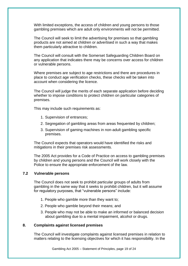With limited exceptions, the access of children and young persons to those gambling premises which are adult only environments will not be permitted.

The Council will seek to limit the advertising for premises so that gambling products are not aimed at children or advertised in such a way that makes them particularly attractive to children.

The Council will consult with the Somerset Safeguarding Children Board on any application that indicates there may be concerns over access for children or vulnerable persons.

Where premises are subject to age restrictions and there are procedures in place to conduct age verification checks, these checks will be taken into account when considering the licence.

The Council will judge the merits of each separate application before deciding whether to impose conditions to protect children on particular categories of premises.

This may include such requirements as:

- 1. Supervision of entrances;
- 2. Segregation of gambling areas from areas frequented by children;
- 3. Supervision of gaming machines in non-adult gambling specific premises.

The Council expects that operators would have identified the risks and mitigations in their premises risk assessments.

The 2005 Act provides for a Code of Practice on access to gambling premises by children and young persons and the Council will work closely with the Police to ensure the appropriate enforcement of the law.

#### **7.2 Vulnerable persons**

The Council does not seek to prohibit particular groups of adults from gambling in the same way that it seeks to prohibit children, but it will assume for regulatory purposes, that "vulnerable persons" include:

- 1. People who gamble more than they want to;
- 2. People who gamble beyond their means; and
- 3. People who may not be able to make an informed or balanced decision about gambling due to a mental impairment, alcohol or drugs.

#### **8. Complaints against licensed premises**

The Council will investigate complaints against licensed premises in relation to matters relating to the licensing objectives for which it has responsibility. In the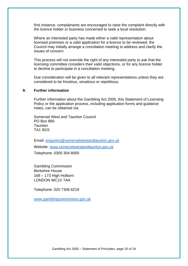first instance, complainants are encouraged to raise the complaint directly with the licence holder or business concerned to seek a local resolution.

Where an interested party has made either a valid representation about licensed premises or a valid application for a licence to be reviewed, the Council may initially arrange a conciliation meeting to address and clarify the issues of concern.

This process will not override the right of any interested party to ask that the licensing committee considers their valid objections, or for any licence holder to decline to participate in a conciliation meeting.

Due consideration will be given to all relevant representations unless they are considered to be frivolous, vexatious or repetitious.

#### **9. Further information**

Further information about the Gambling Act 2005, this Statement of Licensing Policy or the application process, including application forms and guidance notes, can be obtained via:

Somerset West and Taunton Council PO Box 866 **Taunton** TA1 9GS

Email: [enquiries@somersetwestandtaunton.gov.uk](mailto:enquiries@somersetwestandtaunton.gov.uk)

Website: [www.somersetwestandtaunton.gov.uk](http://www.somersetwestandtaunton.gov.uk/)

Telephone: 0300 304 8000

Gambling Commission Berkshire House 168 – 173 High Holborn LONDON WC1V 7AA

Telephone: 020 7306 6219

[www.gamblingcommission.gov.uk](http://www.gamblingcommission.gov.uk/)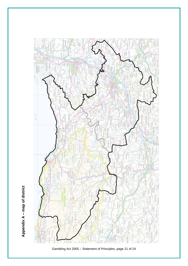

Gambling Act 2005 – Statement of Principles, page 21 of 24

Appendix A - map of district **Appendix A – map of district**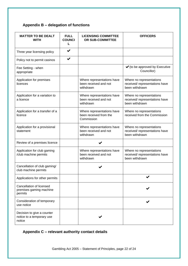# **Appendix B – delegation of functions**

| <b>MATTER TO BE DEALT</b><br><b>WITH</b>                          | <b>FULL</b><br><b>COUNCI</b><br>L | <b>LICENSING COMMITTEE</b><br>OR SUB-COMMITTEE                     | <b>OFFICERS</b>                                                              |
|-------------------------------------------------------------------|-----------------------------------|--------------------------------------------------------------------|------------------------------------------------------------------------------|
| Three year licensing policy                                       |                                   |                                                                    |                                                                              |
| Policy not to permit casinos                                      | ✔                                 |                                                                    |                                                                              |
| Fee Setting - when<br>appropriate                                 |                                   |                                                                    | $\checkmark$ (to be approved by Executive<br>Councillor)                     |
| Application for premises<br>licences                              |                                   | Where representations have<br>been received and not<br>withdrawn   | Where no representations<br>received/representations have<br>been withdrawn  |
| Application for a variation to<br>a licence                       |                                   | Where representations have<br>been received and not<br>withdrawn   | Where no representations<br>received/ representations have<br>been withdrawn |
| Application for a transfer of a<br>licence                        |                                   | Where representations have<br>been received from the<br>Commission | Where no representations<br>received from the Commission                     |
| Application for a provisional<br>statement                        |                                   | Where representations have<br>been received and not<br>withdrawn   | Where no representations<br>received/representations have<br>been withdrawn  |
| Review of a premises licence                                      |                                   | ✔                                                                  |                                                                              |
| Application for club gaming<br>/club machine permits              |                                   | Where representations have<br>been received and not<br>withdrawn   | Where no representations<br>received/representations have<br>been withdrawn  |
| Cancellation of club gaming/<br>club machine permits              |                                   |                                                                    |                                                                              |
| Applications for other permits                                    |                                   |                                                                    |                                                                              |
| Cancellation of licensed<br>premises gaming machine<br>permits    |                                   |                                                                    |                                                                              |
| Consideration of temporary<br>use notice                          |                                   |                                                                    |                                                                              |
| Decision to give a counter<br>notice to a temporary use<br>notice |                                   |                                                                    |                                                                              |

# **Appendix C – relevant authority contact details**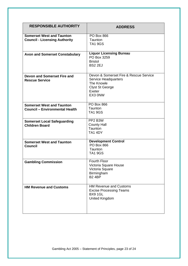| <b>RESPONSIBLE AUTHORITY</b>                                              | <b>ADDRESS</b>                                                                                                                     |
|---------------------------------------------------------------------------|------------------------------------------------------------------------------------------------------------------------------------|
| <b>Somerset West and Taunton</b><br><b>Council - Licensing Authority</b>  | <b>PO Box 866</b><br>Taunton<br><b>TA1 9GS</b>                                                                                     |
| <b>Avon and Somerset Constabulary</b>                                     | <b>Liquor Licensing Bureau</b><br>PO Box 3259<br><b>Bristol</b><br><b>BS2 2EJ</b>                                                  |
| <b>Devon and Somerset Fire and</b><br><b>Rescue Service</b>               | Devon & Somerset Fire & Rescue Service<br><b>Service Headquarters</b><br>The Knowle<br><b>Clyst St George</b><br>Exeter<br>EX3 0NW |
| <b>Somerset West and Taunton</b><br><b>Council - Environmental Health</b> | <b>PO Box 866</b><br>Taunton<br><b>TA1 9GS</b>                                                                                     |
| <b>Somerset Local Safeguarding</b><br><b>Children Board</b>               | PP2 B3W<br><b>County Hall</b><br>Taunton<br><b>TA1 4DY</b>                                                                         |
| <b>Somerset West and Taunton</b><br>Council                               | <b>Development Control</b><br><b>PO Box 866</b><br>Taunton<br><b>TA1 9GS</b>                                                       |
| <b>Gambling Commission</b>                                                | Fourth Floor<br>Victoria Square House<br>Victoria Square<br>Birmingham<br><b>B2 4BP</b>                                            |
| <b>HM Revenue and Customs</b>                                             | <b>HM Revenue and Customs</b><br><b>Excise Processing Teams</b><br><b>BX9 1GL</b><br><b>United Kingdom</b>                         |